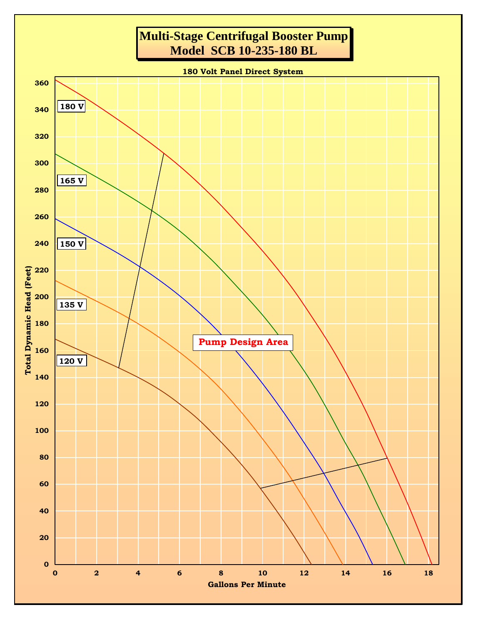